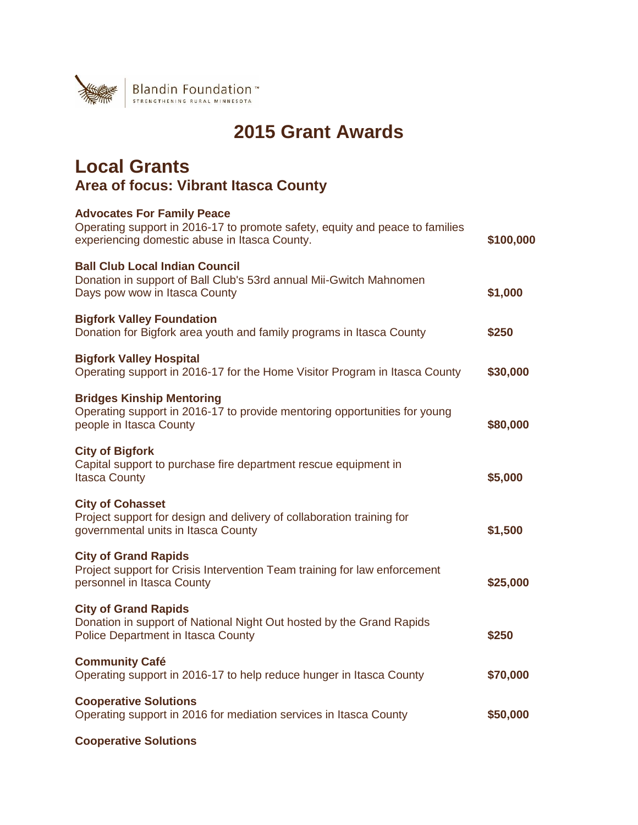

# **2015 Grant Awards**

### **Local Grants Area of focus: Vibrant Itasca County**

| <b>Advocates For Family Peace</b><br>Operating support in 2016-17 to promote safety, equity and peace to families<br>experiencing domestic abuse in Itasca County. | \$100,000 |
|--------------------------------------------------------------------------------------------------------------------------------------------------------------------|-----------|
| <b>Ball Club Local Indian Council</b><br>Donation in support of Ball Club's 53rd annual Mii-Gwitch Mahnomen<br>Days pow wow in Itasca County                       | \$1,000   |
| <b>Bigfork Valley Foundation</b><br>Donation for Bigfork area youth and family programs in Itasca County                                                           | \$250     |
| <b>Bigfork Valley Hospital</b><br>Operating support in 2016-17 for the Home Visitor Program in Itasca County                                                       | \$30,000  |
| <b>Bridges Kinship Mentoring</b><br>Operating support in 2016-17 to provide mentoring opportunities for young<br>people in Itasca County                           | \$80,000  |
| <b>City of Bigfork</b><br>Capital support to purchase fire department rescue equipment in<br><b>Itasca County</b>                                                  | \$5,000   |
| <b>City of Cohasset</b><br>Project support for design and delivery of collaboration training for<br>governmental units in Itasca County                            | \$1,500   |
| <b>City of Grand Rapids</b><br>Project support for Crisis Intervention Team training for law enforcement<br>personnel in Itasca County                             | \$25,000  |
| <b>City of Grand Rapids</b><br>Donation in support of National Night Out hosted by the Grand Rapids<br>Police Department in Itasca County                          | \$250     |
| <b>Community Café</b><br>Operating support in 2016-17 to help reduce hunger in Itasca County                                                                       | \$70,000  |
| <b>Cooperative Solutions</b><br>Operating support in 2016 for mediation services in Itasca County                                                                  | \$50,000  |
| <b>Cooperative Solutions</b>                                                                                                                                       |           |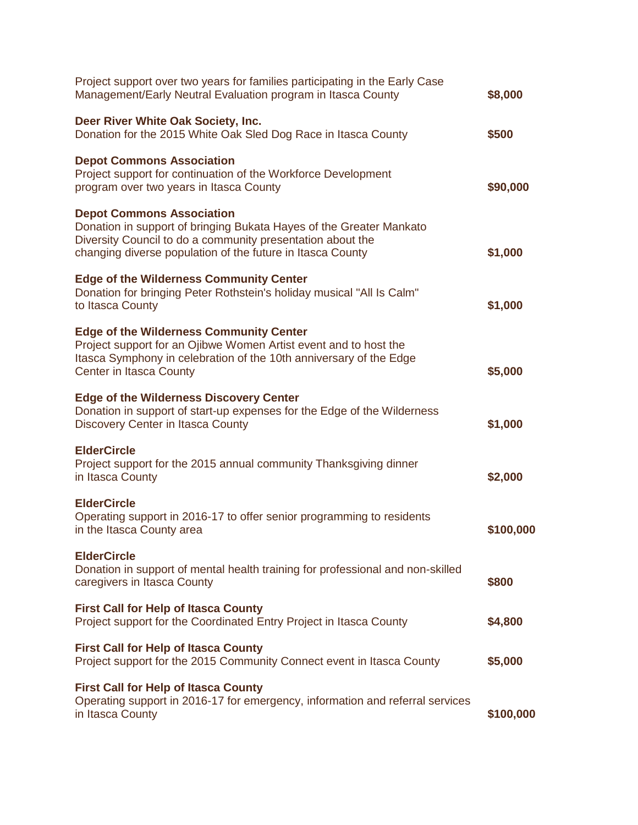| Project support over two years for families participating in the Early Case<br>Management/Early Neutral Evaluation program in Itasca County                                                                                         | \$8,000   |
|-------------------------------------------------------------------------------------------------------------------------------------------------------------------------------------------------------------------------------------|-----------|
| Deer River White Oak Society, Inc.<br>Donation for the 2015 White Oak Sled Dog Race in Itasca County                                                                                                                                | \$500     |
| <b>Depot Commons Association</b><br>Project support for continuation of the Workforce Development<br>program over two years in Itasca County                                                                                        | \$90,000  |
| <b>Depot Commons Association</b><br>Donation in support of bringing Bukata Hayes of the Greater Mankato<br>Diversity Council to do a community presentation about the<br>changing diverse population of the future in Itasca County | \$1,000   |
| <b>Edge of the Wilderness Community Center</b><br>Donation for bringing Peter Rothstein's holiday musical "All Is Calm"<br>to Itasca County                                                                                         | \$1,000   |
| <b>Edge of the Wilderness Community Center</b><br>Project support for an Ojibwe Women Artist event and to host the<br>Itasca Symphony in celebration of the 10th anniversary of the Edge<br><b>Center in Itasca County</b>          | \$5,000   |
| <b>Edge of the Wilderness Discovery Center</b><br>Donation in support of start-up expenses for the Edge of the Wilderness<br><b>Discovery Center in Itasca County</b>                                                               | \$1,000   |
| <b>ElderCircle</b><br>Project support for the 2015 annual community Thanksgiving dinner<br>in Itasca County                                                                                                                         | \$2,000   |
| <b>ElderCircle</b><br>Operating support in 2016-17 to offer senior programming to residents<br>in the Itasca County area                                                                                                            | \$100,000 |
| <b>ElderCircle</b><br>Donation in support of mental health training for professional and non-skilled<br>caregivers in Itasca County                                                                                                 | \$800     |
| <b>First Call for Help of Itasca County</b><br>Project support for the Coordinated Entry Project in Itasca County                                                                                                                   | \$4,800   |
| <b>First Call for Help of Itasca County</b><br>Project support for the 2015 Community Connect event in Itasca County                                                                                                                | \$5,000   |
| <b>First Call for Help of Itasca County</b><br>Operating support in 2016-17 for emergency, information and referral services<br>in Itasca County                                                                                    | \$100,000 |
|                                                                                                                                                                                                                                     |           |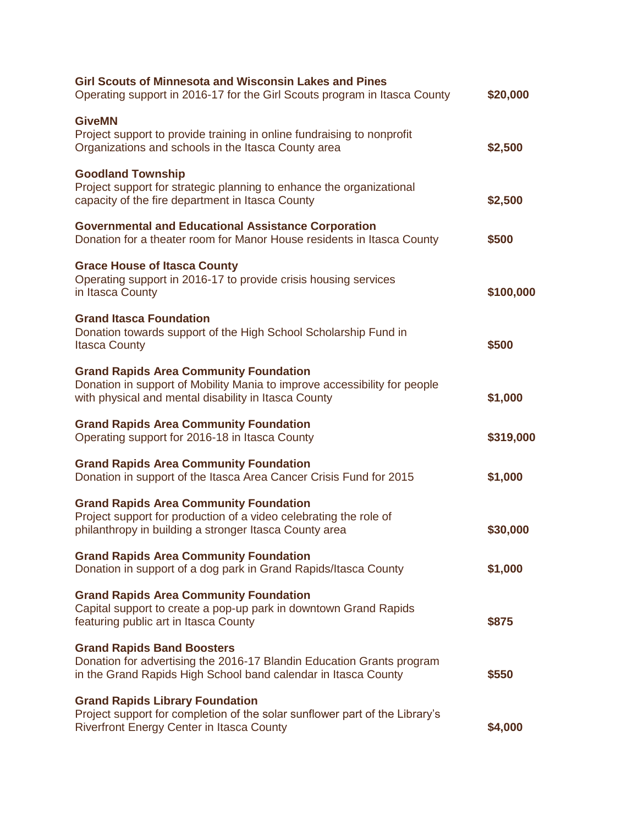| <b>Girl Scouts of Minnesota and Wisconsin Lakes and Pines</b><br>Operating support in 2016-17 for the Girl Scouts program in Itasca County                                         | \$20,000  |
|------------------------------------------------------------------------------------------------------------------------------------------------------------------------------------|-----------|
| <b>GiveMN</b><br>Project support to provide training in online fundraising to nonprofit<br>Organizations and schools in the Itasca County area                                     | \$2,500   |
| <b>Goodland Township</b><br>Project support for strategic planning to enhance the organizational<br>capacity of the fire department in Itasca County                               | \$2,500   |
| <b>Governmental and Educational Assistance Corporation</b><br>Donation for a theater room for Manor House residents in Itasca County                                               | \$500     |
| <b>Grace House of Itasca County</b><br>Operating support in 2016-17 to provide crisis housing services<br>in Itasca County                                                         | \$100,000 |
| <b>Grand Itasca Foundation</b><br>Donation towards support of the High School Scholarship Fund in<br><b>Itasca County</b>                                                          | \$500     |
| <b>Grand Rapids Area Community Foundation</b><br>Donation in support of Mobility Mania to improve accessibility for people<br>with physical and mental disability in Itasca County | \$1,000   |
| <b>Grand Rapids Area Community Foundation</b><br>Operating support for 2016-18 in Itasca County                                                                                    | \$319,000 |
| <b>Grand Rapids Area Community Foundation</b><br>Donation in support of the Itasca Area Cancer Crisis Fund for 2015                                                                | \$1,000   |
| <b>Grand Rapids Area Community Foundation</b><br>Project support for production of a video celebrating the role of<br>philanthropy in building a stronger Itasca County area       | \$30,000  |
| <b>Grand Rapids Area Community Foundation</b><br>Donation in support of a dog park in Grand Rapids/Itasca County                                                                   | \$1,000   |
| <b>Grand Rapids Area Community Foundation</b><br>Capital support to create a pop-up park in downtown Grand Rapids<br>featuring public art in Itasca County                         | \$875     |
| <b>Grand Rapids Band Boosters</b><br>Donation for advertising the 2016-17 Blandin Education Grants program<br>in the Grand Rapids High School band calendar in Itasca County       | \$550     |
| <b>Grand Rapids Library Foundation</b><br>Project support for completion of the solar sunflower part of the Library's<br><b>Riverfront Energy Center in Itasca County</b>          | \$4,000   |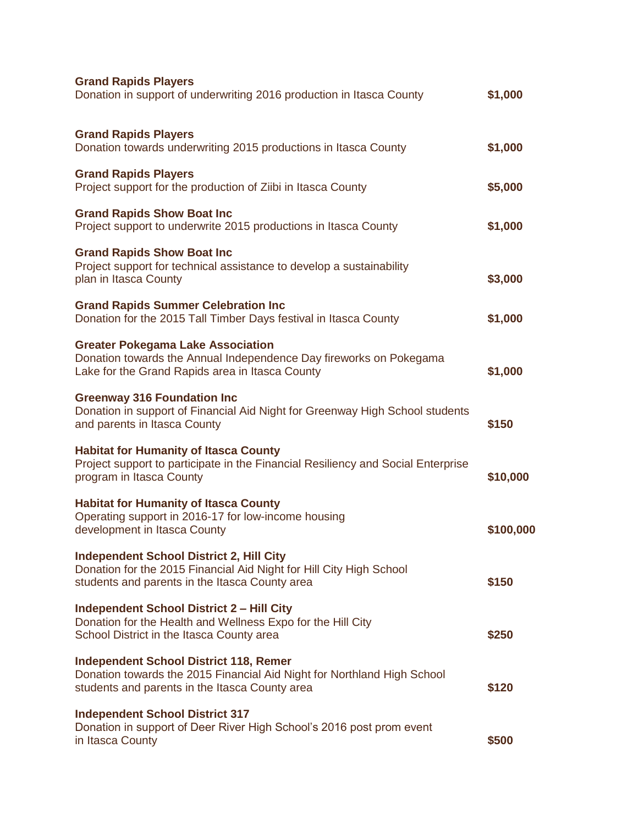| <b>Grand Rapids Players</b><br>Donation in support of underwriting 2016 production in Itasca County                                                                        | \$1,000   |
|----------------------------------------------------------------------------------------------------------------------------------------------------------------------------|-----------|
| <b>Grand Rapids Players</b><br>Donation towards underwriting 2015 productions in Itasca County                                                                             | \$1,000   |
| <b>Grand Rapids Players</b><br>Project support for the production of Ziibi in Itasca County                                                                                | \$5,000   |
| <b>Grand Rapids Show Boat Inc</b><br>Project support to underwrite 2015 productions in Itasca County                                                                       | \$1,000   |
| <b>Grand Rapids Show Boat Inc</b><br>Project support for technical assistance to develop a sustainability<br>plan in Itasca County                                         | \$3,000   |
| <b>Grand Rapids Summer Celebration Inc</b><br>Donation for the 2015 Tall Timber Days festival in Itasca County                                                             | \$1,000   |
| <b>Greater Pokegama Lake Association</b><br>Donation towards the Annual Independence Day fireworks on Pokegama<br>Lake for the Grand Rapids area in Itasca County          | \$1,000   |
| <b>Greenway 316 Foundation Inc</b><br>Donation in support of Financial Aid Night for Greenway High School students<br>and parents in Itasca County                         | \$150     |
| <b>Habitat for Humanity of Itasca County</b><br>Project support to participate in the Financial Resiliency and Social Enterprise<br>program in Itasca County               | \$10,000  |
| <b>Habitat for Humanity of Itasca County</b><br>Operating support in 2016-17 for low-income housing<br>development in Itasca County                                        | \$100,000 |
| <b>Independent School District 2, Hill City</b><br>Donation for the 2015 Financial Aid Night for Hill City High School<br>students and parents in the Itasca County area   | \$150     |
| <b>Independent School District 2 - Hill City</b><br>Donation for the Health and Wellness Expo for the Hill City<br>School District in the Itasca County area               | \$250     |
| <b>Independent School District 118, Remer</b><br>Donation towards the 2015 Financial Aid Night for Northland High School<br>students and parents in the Itasca County area | \$120     |
| <b>Independent School District 317</b><br>Donation in support of Deer River High School's 2016 post prom event<br>in Itasca County                                         | \$500     |
|                                                                                                                                                                            |           |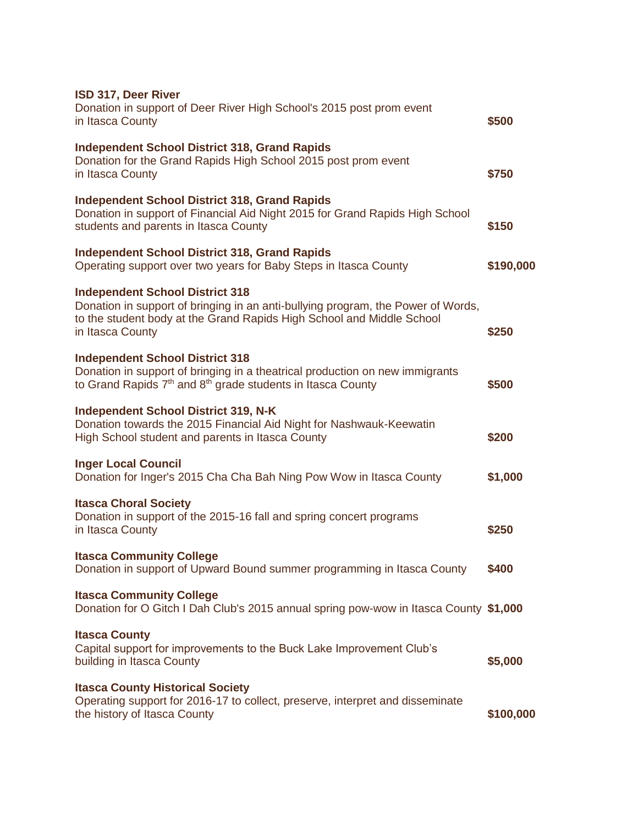| ISD 317, Deer River<br>Donation in support of Deer River High School's 2015 post prom event<br>in Itasca County                                                                                                         | \$500     |
|-------------------------------------------------------------------------------------------------------------------------------------------------------------------------------------------------------------------------|-----------|
| <b>Independent School District 318, Grand Rapids</b><br>Donation for the Grand Rapids High School 2015 post prom event<br>in Itasca County                                                                              | \$750     |
| <b>Independent School District 318, Grand Rapids</b><br>Donation in support of Financial Aid Night 2015 for Grand Rapids High School<br>students and parents in Itasca County                                           | \$150     |
| <b>Independent School District 318, Grand Rapids</b><br>Operating support over two years for Baby Steps in Itasca County                                                                                                | \$190,000 |
| <b>Independent School District 318</b><br>Donation in support of bringing in an anti-bullying program, the Power of Words,<br>to the student body at the Grand Rapids High School and Middle School<br>in Itasca County | \$250     |
| <b>Independent School District 318</b><br>Donation in support of bringing in a theatrical production on new immigrants<br>to Grand Rapids 7 <sup>th</sup> and 8 <sup>th</sup> grade students in Itasca County           | \$500     |
| <b>Independent School District 319, N-K</b><br>Donation towards the 2015 Financial Aid Night for Nashwauk-Keewatin<br>High School student and parents in Itasca County                                                  | \$200     |
| <b>Inger Local Council</b><br>Donation for Inger's 2015 Cha Cha Bah Ning Pow Wow in Itasca County                                                                                                                       | \$1,000   |
| <b>Itasca Choral Society</b><br>Donation in support of the 2015-16 fall and spring concert programs<br>in Itasca County                                                                                                 | \$250     |
| <b>Itasca Community College</b><br>Donation in support of Upward Bound summer programming in Itasca County                                                                                                              | \$400     |
| <b>Itasca Community College</b><br>Donation for O Gitch I Dah Club's 2015 annual spring pow-wow in Itasca County \$1,000                                                                                                |           |
| <b>Itasca County</b><br>Capital support for improvements to the Buck Lake Improvement Club's<br>building in Itasca County                                                                                               | \$5,000   |
| <b>Itasca County Historical Society</b><br>Operating support for 2016-17 to collect, preserve, interpret and disseminate<br>the history of Itasca County                                                                | \$100,000 |
|                                                                                                                                                                                                                         |           |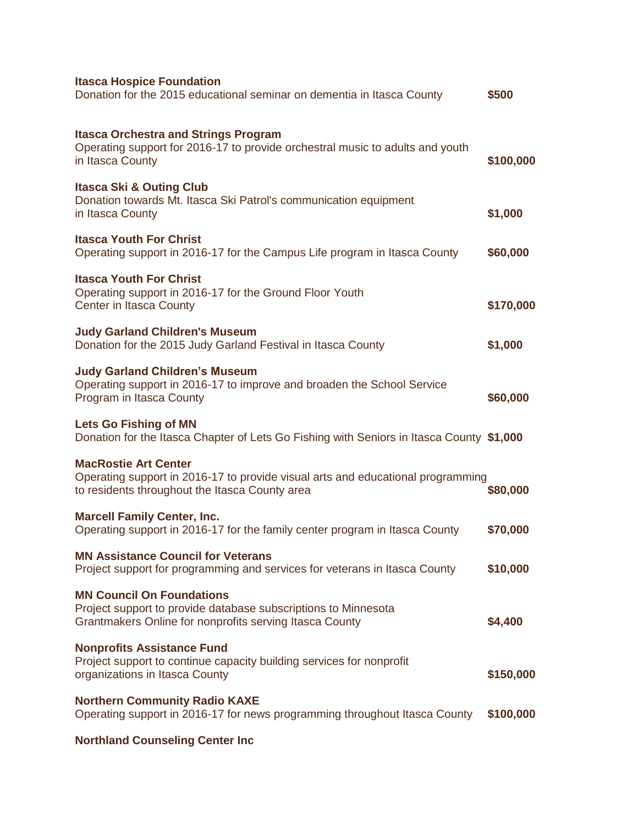| <b>Itasca Hospice Foundation</b><br>Donation for the 2015 educational seminar on dementia in Itasca County                                                       | \$500     |
|------------------------------------------------------------------------------------------------------------------------------------------------------------------|-----------|
| <b>Itasca Orchestra and Strings Program</b><br>Operating support for 2016-17 to provide orchestral music to adults and youth<br>in Itasca County                 | \$100,000 |
| <b>Itasca Ski &amp; Outing Club</b><br>Donation towards Mt. Itasca Ski Patrol's communication equipment<br>in Itasca County                                      | \$1,000   |
| <b>Itasca Youth For Christ</b><br>Operating support in 2016-17 for the Campus Life program in Itasca County                                                      | \$60,000  |
| <b>Itasca Youth For Christ</b><br>Operating support in 2016-17 for the Ground Floor Youth<br>Center in Itasca County                                             | \$170,000 |
| <b>Judy Garland Children's Museum</b><br>Donation for the 2015 Judy Garland Festival in Itasca County                                                            | \$1,000   |
| <b>Judy Garland Children's Museum</b><br>Operating support in 2016-17 to improve and broaden the School Service<br>Program in Itasca County                      | \$60,000  |
| <b>Lets Go Fishing of MN</b><br>Donation for the Itasca Chapter of Lets Go Fishing with Seniors in Itasca County \$1,000                                         |           |
| <b>MacRostie Art Center</b><br>Operating support in 2016-17 to provide visual arts and educational programming<br>to residents throughout the Itasca County area | \$80,000  |
| <b>Marcell Family Center, Inc.</b><br>Operating support in 2016-17 for the family center program in Itasca County                                                | \$70,000  |
| <b>MN Assistance Council for Veterans</b><br>Project support for programming and services for veterans in Itasca County                                          | \$10,000  |
| <b>MN Council On Foundations</b><br>Project support to provide database subscriptions to Minnesota<br>Grantmakers Online for nonprofits serving Itasca County    | \$4,400   |
| <b>Nonprofits Assistance Fund</b><br>Project support to continue capacity building services for nonprofit<br>organizations in Itasca County                      | \$150,000 |
| <b>Northern Community Radio KAXE</b><br>Operating support in 2016-17 for news programming throughout Itasca County                                               | \$100,000 |
| <b>Northland Counseling Center Inc</b>                                                                                                                           |           |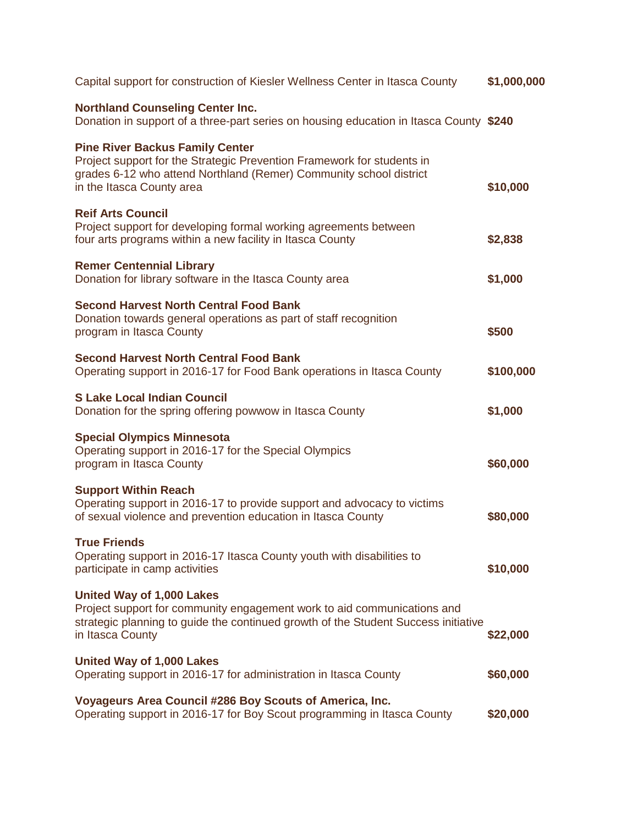| Capital support for construction of Kiesler Wellness Center in Itasca County                                                                                                                                        | \$1,000,000 |
|---------------------------------------------------------------------------------------------------------------------------------------------------------------------------------------------------------------------|-------------|
| <b>Northland Counseling Center Inc.</b><br>Donation in support of a three-part series on housing education in Itasca County \$240                                                                                   |             |
| <b>Pine River Backus Family Center</b><br>Project support for the Strategic Prevention Framework for students in<br>grades 6-12 who attend Northland (Remer) Community school district<br>in the Itasca County area | \$10,000    |
| <b>Reif Arts Council</b><br>Project support for developing formal working agreements between<br>four arts programs within a new facility in Itasca County                                                           | \$2,838     |
| <b>Remer Centennial Library</b><br>Donation for library software in the Itasca County area                                                                                                                          | \$1,000     |
| <b>Second Harvest North Central Food Bank</b><br>Donation towards general operations as part of staff recognition<br>program in Itasca County                                                                       | \$500       |
| <b>Second Harvest North Central Food Bank</b><br>Operating support in 2016-17 for Food Bank operations in Itasca County                                                                                             | \$100,000   |
| <b>S Lake Local Indian Council</b><br>Donation for the spring offering powwow in Itasca County                                                                                                                      | \$1,000     |
| <b>Special Olympics Minnesota</b><br>Operating support in 2016-17 for the Special Olympics<br>program in Itasca County                                                                                              | \$60,000    |
| <b>Support Within Reach</b><br>Operating support in 2016-17 to provide support and advocacy to victims<br>of sexual violence and prevention education in Itasca County                                              | \$80,000    |
| <b>True Friends</b><br>Operating support in 2016-17 Itasca County youth with disabilities to<br>participate in camp activities                                                                                      | \$10,000    |
| United Way of 1,000 Lakes<br>Project support for community engagement work to aid communications and<br>strategic planning to guide the continued growth of the Student Success initiative<br>in Itasca County      | \$22,000    |
| United Way of 1,000 Lakes<br>Operating support in 2016-17 for administration in Itasca County                                                                                                                       | \$60,000    |
| Voyageurs Area Council #286 Boy Scouts of America, Inc.<br>Operating support in 2016-17 for Boy Scout programming in Itasca County                                                                                  | \$20,000    |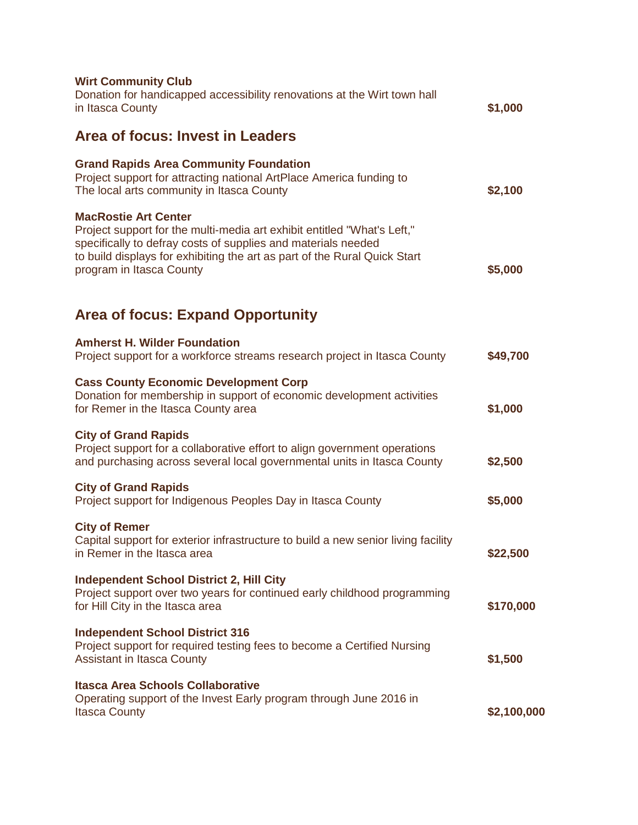| <b>Wirt Community Club</b><br>Donation for handicapped accessibility renovations at the Wirt town hall<br>in Itasca County                                                                                                                                                       | \$1,000     |
|----------------------------------------------------------------------------------------------------------------------------------------------------------------------------------------------------------------------------------------------------------------------------------|-------------|
| <b>Area of focus: Invest in Leaders</b>                                                                                                                                                                                                                                          |             |
| <b>Grand Rapids Area Community Foundation</b><br>Project support for attracting national ArtPlace America funding to<br>The local arts community in Itasca County                                                                                                                | \$2,100     |
| <b>MacRostie Art Center</b><br>Project support for the multi-media art exhibit entitled "What's Left,"<br>specifically to defray costs of supplies and materials needed<br>to build displays for exhibiting the art as part of the Rural Quick Start<br>program in Itasca County | \$5,000     |
| <b>Area of focus: Expand Opportunity</b>                                                                                                                                                                                                                                         |             |
| <b>Amherst H. Wilder Foundation</b><br>Project support for a workforce streams research project in Itasca County                                                                                                                                                                 | \$49,700    |
| <b>Cass County Economic Development Corp</b><br>Donation for membership in support of economic development activities<br>for Remer in the Itasca County area                                                                                                                     | \$1,000     |
| <b>City of Grand Rapids</b><br>Project support for a collaborative effort to align government operations<br>and purchasing across several local governmental units in Itasca County                                                                                              | \$2,500     |
| <b>City of Grand Rapids</b><br>Project support for Indigenous Peoples Day in Itasca County                                                                                                                                                                                       | \$5,000     |
| <b>City of Remer</b><br>Capital support for exterior infrastructure to build a new senior living facility<br>in Remer in the Itasca area                                                                                                                                         | \$22,500    |
| <b>Independent School District 2, Hill City</b><br>Project support over two years for continued early childhood programming<br>for Hill City in the Itasca area                                                                                                                  | \$170,000   |
| <b>Independent School District 316</b><br>Project support for required testing fees to become a Certified Nursing<br><b>Assistant in Itasca County</b>                                                                                                                           | \$1,500     |
| <b>Itasca Area Schools Collaborative</b><br>Operating support of the Invest Early program through June 2016 in<br><b>Itasca County</b>                                                                                                                                           | \$2,100,000 |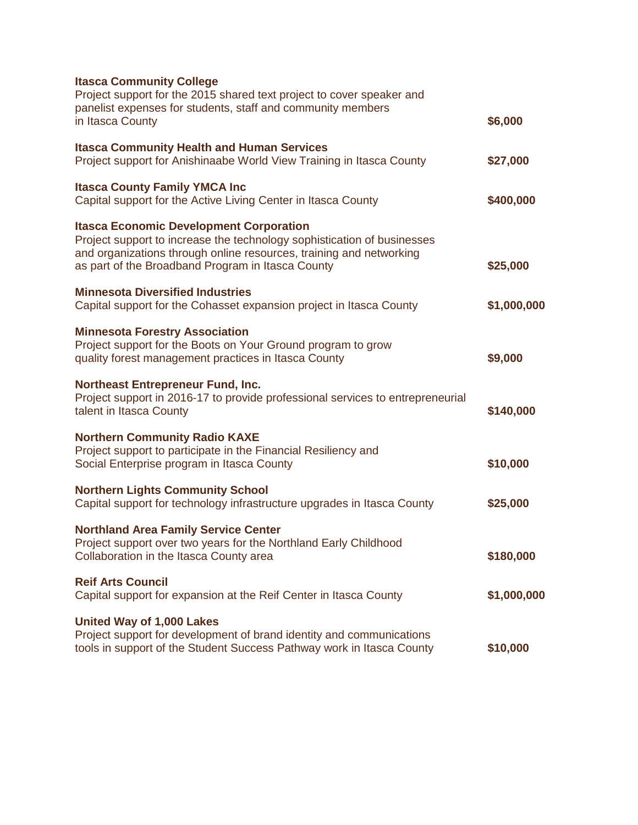| <b>Itasca Community College</b><br>Project support for the 2015 shared text project to cover speaker and<br>panelist expenses for students, staff and community members                                                                               |             |
|-------------------------------------------------------------------------------------------------------------------------------------------------------------------------------------------------------------------------------------------------------|-------------|
| in Itasca County                                                                                                                                                                                                                                      | \$6,000     |
| <b>Itasca Community Health and Human Services</b><br>Project support for Anishinaabe World View Training in Itasca County                                                                                                                             | \$27,000    |
| <b>Itasca County Family YMCA Inc</b><br>Capital support for the Active Living Center in Itasca County                                                                                                                                                 | \$400,000   |
| <b>Itasca Economic Development Corporation</b><br>Project support to increase the technology sophistication of businesses<br>and organizations through online resources, training and networking<br>as part of the Broadband Program in Itasca County | \$25,000    |
| <b>Minnesota Diversified Industries</b><br>Capital support for the Cohasset expansion project in Itasca County                                                                                                                                        | \$1,000,000 |
| <b>Minnesota Forestry Association</b><br>Project support for the Boots on Your Ground program to grow<br>quality forest management practices in Itasca County                                                                                         | \$9,000     |
| <b>Northeast Entrepreneur Fund, Inc.</b><br>Project support in 2016-17 to provide professional services to entrepreneurial<br>talent in Itasca County                                                                                                 | \$140,000   |
| <b>Northern Community Radio KAXE</b><br>Project support to participate in the Financial Resiliency and<br>Social Enterprise program in Itasca County                                                                                                  | \$10,000    |
| <b>Northern Lights Community School</b><br>Capital support for technology infrastructure upgrades in Itasca County                                                                                                                                    | \$25,000    |
| <b>Northland Area Family Service Center</b><br>Project support over two years for the Northland Early Childhood<br>Collaboration in the Itasca County area                                                                                            | \$180,000   |
| <b>Reif Arts Council</b><br>Capital support for expansion at the Reif Center in Itasca County                                                                                                                                                         | \$1,000,000 |
| United Way of 1,000 Lakes<br>Project support for development of brand identity and communications<br>tools in support of the Student Success Pathway work in Itasca County                                                                            | \$10,000    |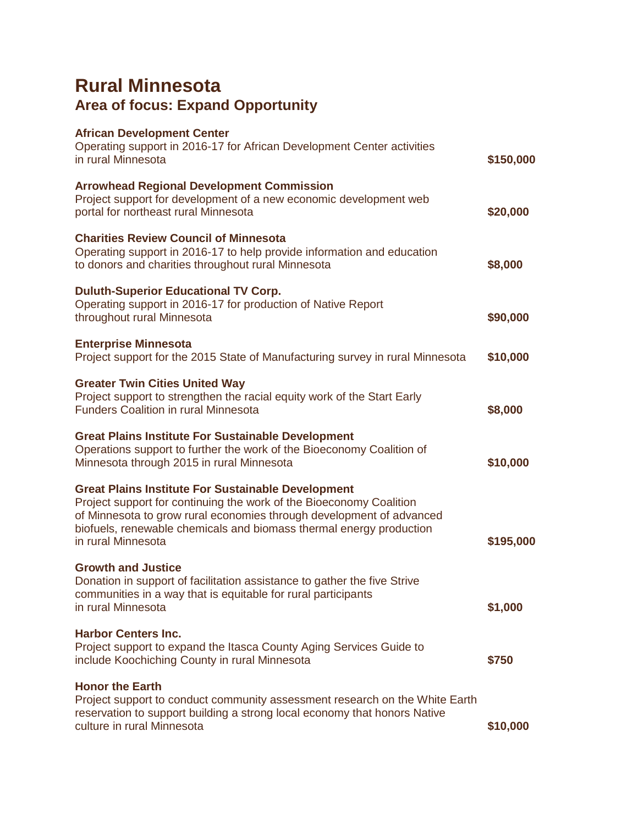## **Rural Minnesota Area of focus: Expand Opportunity**

| <b>African Development Center</b><br>Operating support in 2016-17 for African Development Center activities<br>in rural Minnesota                                                                                                                                                                     | \$150,000 |
|-------------------------------------------------------------------------------------------------------------------------------------------------------------------------------------------------------------------------------------------------------------------------------------------------------|-----------|
| <b>Arrowhead Regional Development Commission</b><br>Project support for development of a new economic development web<br>portal for northeast rural Minnesota                                                                                                                                         | \$20,000  |
| <b>Charities Review Council of Minnesota</b><br>Operating support in 2016-17 to help provide information and education<br>to donors and charities throughout rural Minnesota                                                                                                                          | \$8,000   |
| <b>Duluth-Superior Educational TV Corp.</b><br>Operating support in 2016-17 for production of Native Report<br>throughout rural Minnesota                                                                                                                                                             | \$90,000  |
| <b>Enterprise Minnesota</b><br>Project support for the 2015 State of Manufacturing survey in rural Minnesota                                                                                                                                                                                          | \$10,000  |
| <b>Greater Twin Cities United Way</b><br>Project support to strengthen the racial equity work of the Start Early<br><b>Funders Coalition in rural Minnesota</b>                                                                                                                                       | \$8,000   |
| <b>Great Plains Institute For Sustainable Development</b><br>Operations support to further the work of the Bioeconomy Coalition of<br>Minnesota through 2015 in rural Minnesota                                                                                                                       | \$10,000  |
| <b>Great Plains Institute For Sustainable Development</b><br>Project support for continuing the work of the Bioeconomy Coalition<br>of Minnesota to grow rural economies through development of advanced<br>biofuels, renewable chemicals and biomass thermal energy production<br>in rural Minnesota | \$195,000 |
| <b>Growth and Justice</b><br>Donation in support of facilitation assistance to gather the five Strive<br>communities in a way that is equitable for rural participants<br>in rural Minnesota                                                                                                          | \$1,000   |
| <b>Harbor Centers Inc.</b><br>Project support to expand the Itasca County Aging Services Guide to<br>include Koochiching County in rural Minnesota                                                                                                                                                    | \$750     |
| <b>Honor the Earth</b><br>Project support to conduct community assessment research on the White Earth<br>reservation to support building a strong local economy that honors Native<br>culture in rural Minnesota                                                                                      | \$10,000  |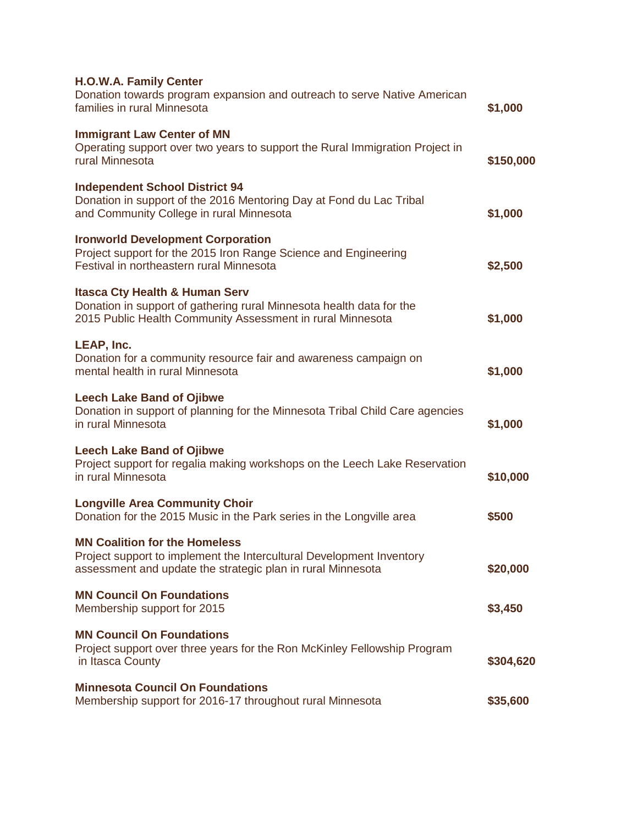| <b>H.O.W.A. Family Center</b>                                                                                                                                                   |           |
|---------------------------------------------------------------------------------------------------------------------------------------------------------------------------------|-----------|
| Donation towards program expansion and outreach to serve Native American<br>families in rural Minnesota                                                                         | \$1,000   |
| <b>Immigrant Law Center of MN</b><br>Operating support over two years to support the Rural Immigration Project in<br>rural Minnesota                                            | \$150,000 |
| <b>Independent School District 94</b><br>Donation in support of the 2016 Mentoring Day at Fond du Lac Tribal<br>and Community College in rural Minnesota                        | \$1,000   |
| <b>Ironworld Development Corporation</b><br>Project support for the 2015 Iron Range Science and Engineering<br>Festival in northeastern rural Minnesota                         | \$2,500   |
| <b>Itasca Cty Health &amp; Human Serv</b><br>Donation in support of gathering rural Minnesota health data for the<br>2015 Public Health Community Assessment in rural Minnesota | \$1,000   |
| LEAP, Inc.<br>Donation for a community resource fair and awareness campaign on<br>mental health in rural Minnesota                                                              | \$1,000   |
| <b>Leech Lake Band of Ojibwe</b><br>Donation in support of planning for the Minnesota Tribal Child Care agencies<br>in rural Minnesota                                          | \$1,000   |
| <b>Leech Lake Band of Ojibwe</b><br>Project support for regalia making workshops on the Leech Lake Reservation<br>in rural Minnesota                                            | \$10,000  |
| <b>Longville Area Community Choir</b><br>Donation for the 2015 Music in the Park series in the Longville area                                                                   | \$500     |
| <b>MN Coalition for the Homeless</b><br>Project support to implement the Intercultural Development Inventory<br>assessment and update the strategic plan in rural Minnesota     | \$20,000  |
| <b>MN Council On Foundations</b><br>Membership support for 2015                                                                                                                 | \$3,450   |
| <b>MN Council On Foundations</b><br>Project support over three years for the Ron McKinley Fellowship Program<br>in Itasca County                                                | \$304,620 |
| <b>Minnesota Council On Foundations</b><br>Membership support for 2016-17 throughout rural Minnesota                                                                            | \$35,600  |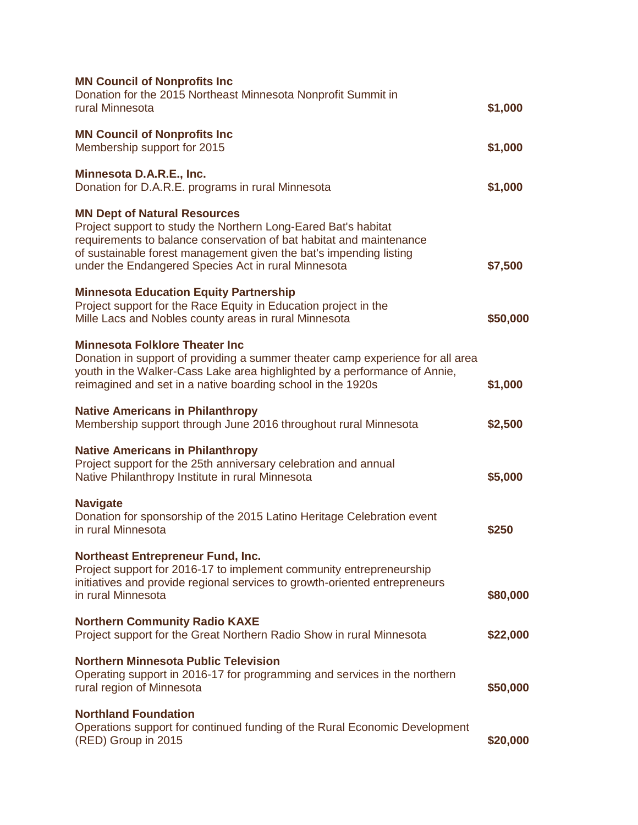| <b>MN Council of Nonprofits Inc</b>                                                                                                                                                                                                                                                                       |          |
|-----------------------------------------------------------------------------------------------------------------------------------------------------------------------------------------------------------------------------------------------------------------------------------------------------------|----------|
| Donation for the 2015 Northeast Minnesota Nonprofit Summit in<br>rural Minnesota                                                                                                                                                                                                                          | \$1,000  |
| <b>MN Council of Nonprofits Inc</b><br>Membership support for 2015                                                                                                                                                                                                                                        | \$1,000  |
| Minnesota D.A.R.E., Inc.<br>Donation for D.A.R.E. programs in rural Minnesota                                                                                                                                                                                                                             | \$1,000  |
| <b>MN Dept of Natural Resources</b><br>Project support to study the Northern Long-Eared Bat's habitat<br>requirements to balance conservation of bat habitat and maintenance<br>of sustainable forest management given the bat's impending listing<br>under the Endangered Species Act in rural Minnesota | \$7,500  |
| <b>Minnesota Education Equity Partnership</b><br>Project support for the Race Equity in Education project in the<br>Mille Lacs and Nobles county areas in rural Minnesota                                                                                                                                 | \$50,000 |
| <b>Minnesota Folklore Theater Inc</b><br>Donation in support of providing a summer theater camp experience for all area<br>youth in the Walker-Cass Lake area highlighted by a performance of Annie,<br>reimagined and set in a native boarding school in the 1920s                                       | \$1,000  |
| <b>Native Americans in Philanthropy</b><br>Membership support through June 2016 throughout rural Minnesota                                                                                                                                                                                                | \$2,500  |
| <b>Native Americans in Philanthropy</b><br>Project support for the 25th anniversary celebration and annual<br>Native Philanthropy Institute in rural Minnesota                                                                                                                                            | \$5,000  |
| <b>Navigate</b><br>Donation for sponsorship of the 2015 Latino Heritage Celebration event<br>in rural Minnesota                                                                                                                                                                                           | \$250    |
| <b>Northeast Entrepreneur Fund, Inc.</b><br>Project support for 2016-17 to implement community entrepreneurship<br>initiatives and provide regional services to growth-oriented entrepreneurs<br>in rural Minnesota                                                                                       | \$80,000 |
| <b>Northern Community Radio KAXE</b><br>Project support for the Great Northern Radio Show in rural Minnesota                                                                                                                                                                                              | \$22,000 |
| <b>Northern Minnesota Public Television</b><br>Operating support in 2016-17 for programming and services in the northern<br>rural region of Minnesota                                                                                                                                                     | \$50,000 |
| <b>Northland Foundation</b><br>Operations support for continued funding of the Rural Economic Development<br>(RED) Group in 2015                                                                                                                                                                          | \$20,000 |
|                                                                                                                                                                                                                                                                                                           |          |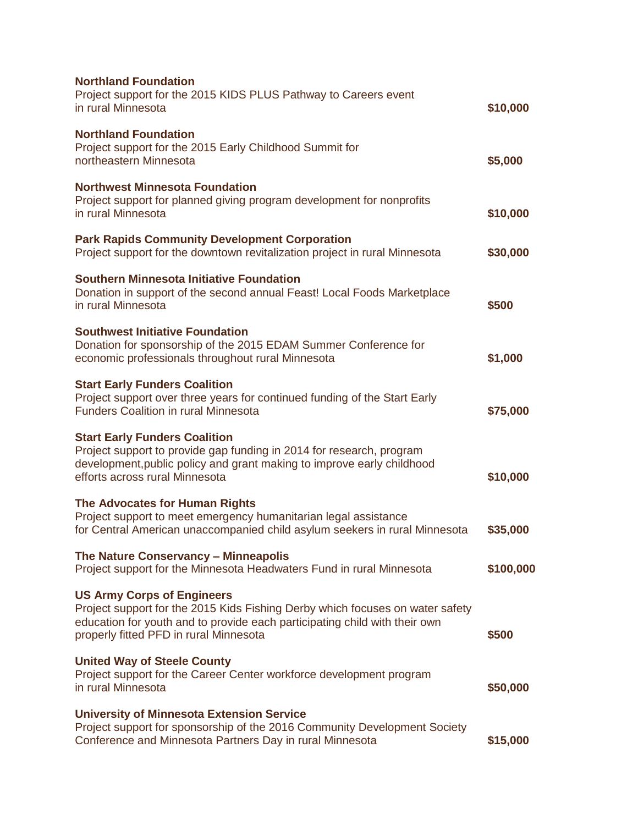| <b>Northland Foundation</b><br>Project support for the 2015 KIDS PLUS Pathway to Careers event<br>in rural Minnesota                                                                                                                       | \$10,000  |
|--------------------------------------------------------------------------------------------------------------------------------------------------------------------------------------------------------------------------------------------|-----------|
| <b>Northland Foundation</b><br>Project support for the 2015 Early Childhood Summit for<br>northeastern Minnesota                                                                                                                           | \$5,000   |
| <b>Northwest Minnesota Foundation</b><br>Project support for planned giving program development for nonprofits<br>in rural Minnesota                                                                                                       | \$10,000  |
| <b>Park Rapids Community Development Corporation</b><br>Project support for the downtown revitalization project in rural Minnesota                                                                                                         | \$30,000  |
| <b>Southern Minnesota Initiative Foundation</b><br>Donation in support of the second annual Feast! Local Foods Marketplace<br>in rural Minnesota                                                                                           | \$500     |
| <b>Southwest Initiative Foundation</b><br>Donation for sponsorship of the 2015 EDAM Summer Conference for<br>economic professionals throughout rural Minnesota                                                                             | \$1,000   |
| <b>Start Early Funders Coalition</b><br>Project support over three years for continued funding of the Start Early<br><b>Funders Coalition in rural Minnesota</b>                                                                           | \$75,000  |
| <b>Start Early Funders Coalition</b><br>Project support to provide gap funding in 2014 for research, program<br>development, public policy and grant making to improve early childhood<br>efforts across rural Minnesota                   | \$10,000  |
| The Advocates for Human Rights<br>Project support to meet emergency humanitarian legal assistance<br>for Central American unaccompanied child asylum seekers in rural Minnesota                                                            | \$35,000  |
| The Nature Conservancy - Minneapolis<br>Project support for the Minnesota Headwaters Fund in rural Minnesota                                                                                                                               | \$100,000 |
| <b>US Army Corps of Engineers</b><br>Project support for the 2015 Kids Fishing Derby which focuses on water safety<br>education for youth and to provide each participating child with their own<br>properly fitted PFD in rural Minnesota | \$500     |
| <b>United Way of Steele County</b><br>Project support for the Career Center workforce development program<br>in rural Minnesota                                                                                                            | \$50,000  |
| <b>University of Minnesota Extension Service</b><br>Project support for sponsorship of the 2016 Community Development Society<br>Conference and Minnesota Partners Day in rural Minnesota                                                  | \$15,000  |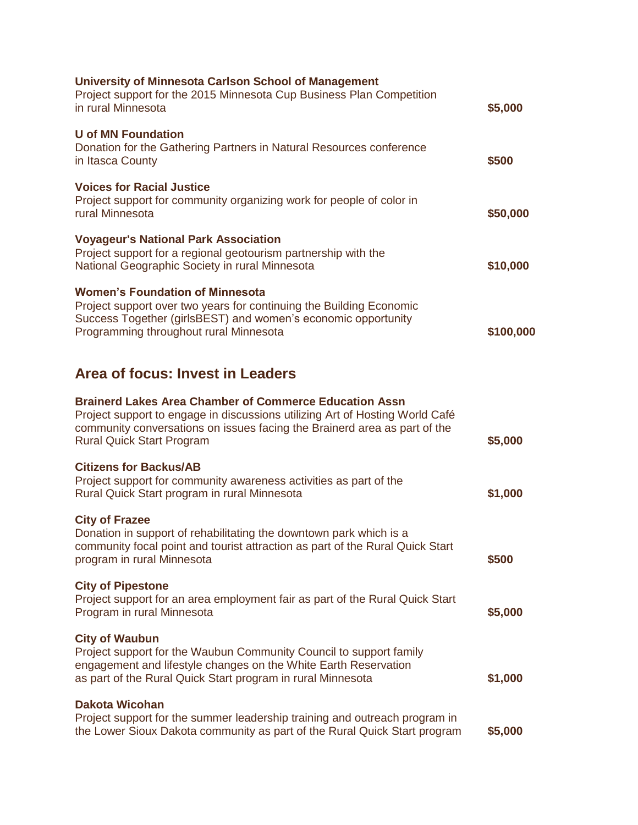| University of Minnesota Carlson School of Management<br>Project support for the 2015 Minnesota Cup Business Plan Competition<br>in rural Minnesota                                                                                                             | \$5,000   |
|----------------------------------------------------------------------------------------------------------------------------------------------------------------------------------------------------------------------------------------------------------------|-----------|
| <b>U</b> of MN Foundation<br>Donation for the Gathering Partners in Natural Resources conference<br>in Itasca County                                                                                                                                           | \$500     |
| <b>Voices for Racial Justice</b><br>Project support for community organizing work for people of color in<br>rural Minnesota                                                                                                                                    | \$50,000  |
| <b>Voyageur's National Park Association</b><br>Project support for a regional geotourism partnership with the<br>National Geographic Society in rural Minnesota                                                                                                | \$10,000  |
| <b>Women's Foundation of Minnesota</b><br>Project support over two years for continuing the Building Economic<br>Success Together (girlsBEST) and women's economic opportunity<br>Programming throughout rural Minnesota                                       | \$100,000 |
| Area of focus: Invest in Leaders                                                                                                                                                                                                                               |           |
| <b>Brainerd Lakes Area Chamber of Commerce Education Assn</b><br>Project support to engage in discussions utilizing Art of Hosting World Café<br>community conversations on issues facing the Brainerd area as part of the<br><b>Rural Quick Start Program</b> | \$5,000   |
| <b>Citizens for Backus/AB</b><br>Project support for community awareness activities as part of the<br>Rural Quick Start program in rural Minnesota                                                                                                             | \$1,000   |
| <b>City of Frazee</b><br>Donation in support of rehabilitating the downtown park which is a<br>community focal point and tourist attraction as part of the Rural Quick Start<br>program in rural Minnesota                                                     | \$500     |
| <b>City of Pipestone</b><br>Project support for an area employment fair as part of the Rural Quick Start<br>Program in rural Minnesota                                                                                                                         | \$5,000   |
| <b>City of Waubun</b><br>Project support for the Waubun Community Council to support family<br>engagement and lifestyle changes on the White Earth Reservation<br>as part of the Rural Quick Start program in rural Minnesota                                  | \$1,000   |
| <b>Dakota Wicohan</b><br>Project support for the summer leadership training and outreach program in<br>the Lower Sioux Dakota community as part of the Rural Quick Start program                                                                               | \$5,000   |
|                                                                                                                                                                                                                                                                |           |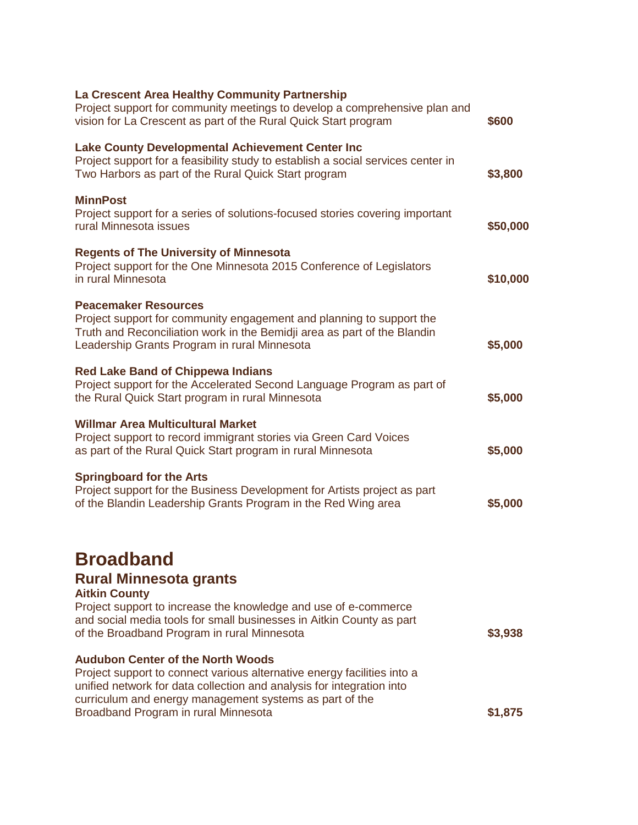| La Crescent Area Healthy Community Partnership<br>Project support for community meetings to develop a comprehensive plan and<br>vision for La Crescent as part of the Rural Quick Start program                                                                                                 | \$600    |
|-------------------------------------------------------------------------------------------------------------------------------------------------------------------------------------------------------------------------------------------------------------------------------------------------|----------|
| <b>Lake County Developmental Achievement Center Inc</b><br>Project support for a feasibility study to establish a social services center in<br>Two Harbors as part of the Rural Quick Start program                                                                                             | \$3,800  |
| <b>MinnPost</b><br>Project support for a series of solutions-focused stories covering important<br>rural Minnesota issues                                                                                                                                                                       | \$50,000 |
| <b>Regents of The University of Minnesota</b><br>Project support for the One Minnesota 2015 Conference of Legislators<br>in rural Minnesota                                                                                                                                                     | \$10,000 |
| <b>Peacemaker Resources</b><br>Project support for community engagement and planning to support the<br>Truth and Reconciliation work in the Bemidji area as part of the Blandin<br>Leadership Grants Program in rural Minnesota                                                                 | \$5,000  |
| <b>Red Lake Band of Chippewa Indians</b><br>Project support for the Accelerated Second Language Program as part of<br>the Rural Quick Start program in rural Minnesota                                                                                                                          | \$5,000  |
| <b>Willmar Area Multicultural Market</b><br>Project support to record immigrant stories via Green Card Voices<br>as part of the Rural Quick Start program in rural Minnesota                                                                                                                    | \$5,000  |
| <b>Springboard for the Arts</b><br>Project support for the Business Development for Artists project as part<br>of the Blandin Leadership Grants Program in the Red Wing area                                                                                                                    | \$5,000  |
| <b>Broadband</b><br><b>Rural Minnesota grants</b><br><b>Aitkin County</b><br>Project support to increase the knowledge and use of e-commerce<br>and social media tools for small businesses in Aitkin County as part<br>of the Broadband Program in rural Minnesota                             | \$3,938  |
| <b>Audubon Center of the North Woods</b><br>Project support to connect various alternative energy facilities into a<br>unified network for data collection and analysis for integration into<br>curriculum and energy management systems as part of the<br>Broadband Program in rural Minnesota | \$1,875  |
|                                                                                                                                                                                                                                                                                                 |          |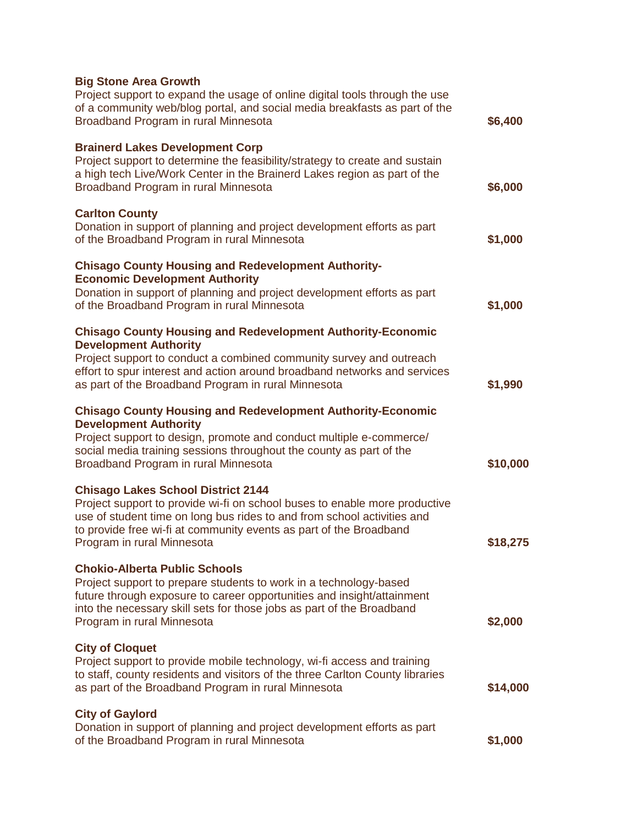| <b>Big Stone Area Growth</b><br>Project support to expand the usage of online digital tools through the use<br>of a community web/blog portal, and social media breakfasts as part of the<br>Broadband Program in rural Minnesota                                                                             | \$6,400  |
|---------------------------------------------------------------------------------------------------------------------------------------------------------------------------------------------------------------------------------------------------------------------------------------------------------------|----------|
| <b>Brainerd Lakes Development Corp</b><br>Project support to determine the feasibility/strategy to create and sustain<br>a high tech Live/Work Center in the Brainerd Lakes region as part of the<br>Broadband Program in rural Minnesota                                                                     | \$6,000  |
| <b>Carlton County</b><br>Donation in support of planning and project development efforts as part<br>of the Broadband Program in rural Minnesota                                                                                                                                                               | \$1,000  |
| <b>Chisago County Housing and Redevelopment Authority-</b><br><b>Economic Development Authority</b><br>Donation in support of planning and project development efforts as part<br>of the Broadband Program in rural Minnesota                                                                                 | \$1,000  |
| <b>Chisago County Housing and Redevelopment Authority-Economic</b><br><b>Development Authority</b><br>Project support to conduct a combined community survey and outreach<br>effort to spur interest and action around broadband networks and services<br>as part of the Broadband Program in rural Minnesota | \$1,990  |
| <b>Chisago County Housing and Redevelopment Authority-Economic</b><br><b>Development Authority</b><br>Project support to design, promote and conduct multiple e-commerce/<br>social media training sessions throughout the county as part of the<br>Broadband Program in rural Minnesota                      | \$10,000 |
| <b>Chisago Lakes School District 2144</b><br>Project support to provide wi-fi on school buses to enable more productive<br>use of student time on long bus rides to and from school activities and<br>to provide free wi-fi at community events as part of the Broadband<br>Program in rural Minnesota        | \$18,275 |
| <b>Chokio-Alberta Public Schools</b><br>Project support to prepare students to work in a technology-based<br>future through exposure to career opportunities and insight/attainment<br>into the necessary skill sets for those jobs as part of the Broadband<br>Program in rural Minnesota                    | \$2,000  |
| <b>City of Cloquet</b><br>Project support to provide mobile technology, wi-fi access and training<br>to staff, county residents and visitors of the three Carlton County libraries<br>as part of the Broadband Program in rural Minnesota                                                                     | \$14,000 |
| <b>City of Gaylord</b><br>Donation in support of planning and project development efforts as part<br>of the Broadband Program in rural Minnesota                                                                                                                                                              | \$1,000  |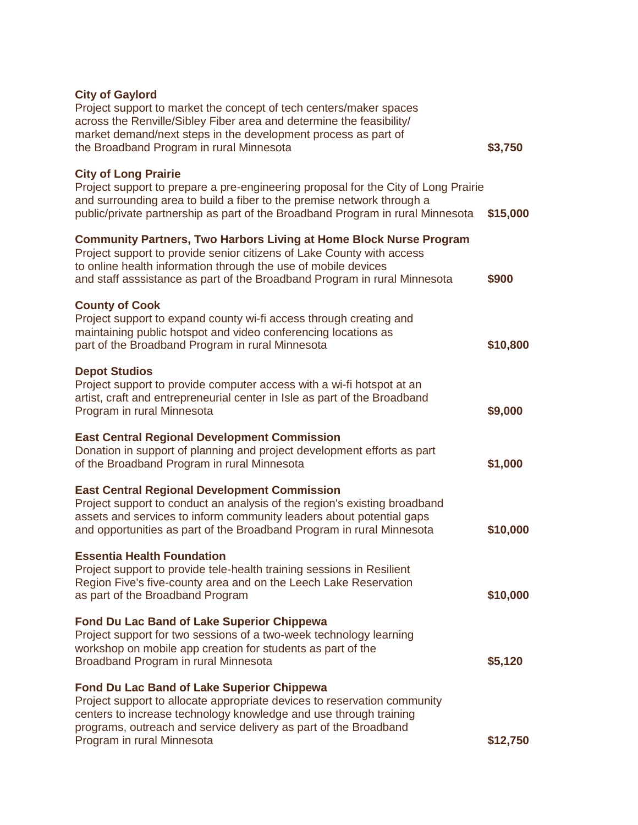| <b>City of Gaylord</b><br>Project support to market the concept of tech centers/maker spaces<br>across the Renville/Sibley Fiber area and determine the feasibility/<br>market demand/next steps in the development process as part of<br>the Broadband Program in rural Minnesota                | \$3,750  |
|---------------------------------------------------------------------------------------------------------------------------------------------------------------------------------------------------------------------------------------------------------------------------------------------------|----------|
| <b>City of Long Prairie</b><br>Project support to prepare a pre-engineering proposal for the City of Long Prairie<br>and surrounding area to build a fiber to the premise network through a<br>public/private partnership as part of the Broadband Program in rural Minnesota                     | \$15,000 |
| <b>Community Partners, Two Harbors Living at Home Block Nurse Program</b><br>Project support to provide senior citizens of Lake County with access<br>to online health information through the use of mobile devices<br>and staff asssistance as part of the Broadband Program in rural Minnesota | \$900    |
| <b>County of Cook</b><br>Project support to expand county wi-fi access through creating and<br>maintaining public hotspot and video conferencing locations as<br>part of the Broadband Program in rural Minnesota                                                                                 | \$10,800 |
| <b>Depot Studios</b><br>Project support to provide computer access with a wi-fi hotspot at an<br>artist, craft and entrepreneurial center in Isle as part of the Broadband<br>Program in rural Minnesota                                                                                          | \$9,000  |
| <b>East Central Regional Development Commission</b><br>Donation in support of planning and project development efforts as part<br>of the Broadband Program in rural Minnesota                                                                                                                     | \$1,000  |
| <b>East Central Regional Development Commission</b><br>Project support to conduct an analysis of the region's existing broadband<br>assets and services to inform community leaders about potential gaps<br>and opportunities as part of the Broadband Program in rural Minnesota                 | \$10,000 |
| <b>Essentia Health Foundation</b><br>Project support to provide tele-health training sessions in Resilient<br>Region Five's five-county area and on the Leech Lake Reservation<br>as part of the Broadband Program                                                                                | \$10,000 |
| <b>Fond Du Lac Band of Lake Superior Chippewa</b><br>Project support for two sessions of a two-week technology learning<br>workshop on mobile app creation for students as part of the<br>Broadband Program in rural Minnesota                                                                    | \$5,120  |
| <b>Fond Du Lac Band of Lake Superior Chippewa</b><br>Project support to allocate appropriate devices to reservation community<br>centers to increase technology knowledge and use through training<br>programs, outreach and service delivery as part of the Broadband                            |          |
| Program in rural Minnesota                                                                                                                                                                                                                                                                        | \$12,750 |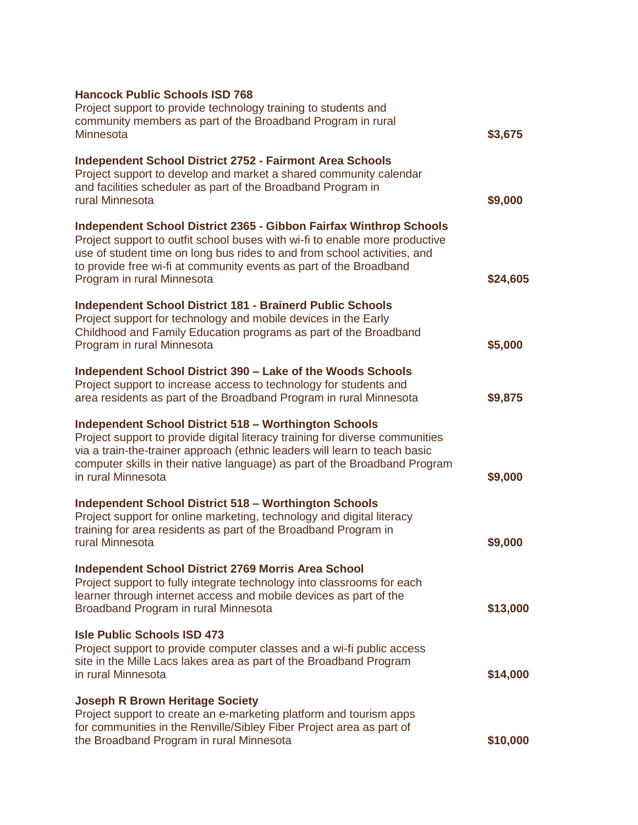| <b>Hancock Public Schools ISD 768</b><br>Project support to provide technology training to students and<br>community members as part of the Broadband Program in rural                                                                                                                                                            |          |
|-----------------------------------------------------------------------------------------------------------------------------------------------------------------------------------------------------------------------------------------------------------------------------------------------------------------------------------|----------|
| Minnesota                                                                                                                                                                                                                                                                                                                         | \$3,675  |
| <b>Independent School District 2752 - Fairmont Area Schools</b><br>Project support to develop and market a shared community calendar<br>and facilities scheduler as part of the Broadband Program in<br>rural Minnesota                                                                                                           | \$9,000  |
| Independent School District 2365 - Gibbon Fairfax Winthrop Schools<br>Project support to outfit school buses with wi-fi to enable more productive<br>use of student time on long bus rides to and from school activities, and<br>to provide free wi-fi at community events as part of the Broadband<br>Program in rural Minnesota | \$24,605 |
| <b>Independent School District 181 - Brainerd Public Schools</b><br>Project support for technology and mobile devices in the Early<br>Childhood and Family Education programs as part of the Broadband<br>Program in rural Minnesota                                                                                              | \$5,000  |
| Independent School District 390 - Lake of the Woods Schools<br>Project support to increase access to technology for students and<br>area residents as part of the Broadband Program in rural Minnesota                                                                                                                            | \$9,875  |
| <b>Independent School District 518 - Worthington Schools</b><br>Project support to provide digital literacy training for diverse communities<br>via a train-the-trainer approach (ethnic leaders will learn to teach basic<br>computer skills in their native language) as part of the Broadband Program<br>in rural Minnesota    | \$9,000  |
| <b>Independent School District 518 - Worthington Schools</b><br>Project support for online marketing, technology and digital literacy<br>training for area residents as part of the Broadband Program in<br>rural Minnesota                                                                                                       | \$9,000  |
| <b>Independent School District 2769 Morris Area School</b><br>Project support to fully integrate technology into classrooms for each<br>learner through internet access and mobile devices as part of the<br>Broadband Program in rural Minnesota                                                                                 | \$13,000 |
| <b>Isle Public Schools ISD 473</b><br>Project support to provide computer classes and a wi-fi public access<br>site in the Mille Lacs lakes area as part of the Broadband Program<br>in rural Minnesota                                                                                                                           | \$14,000 |
| <b>Joseph R Brown Heritage Society</b><br>Project support to create an e-marketing platform and tourism apps<br>for communities in the Renville/Sibley Fiber Project area as part of<br>the Broadband Program in rural Minnesota                                                                                                  | \$10,000 |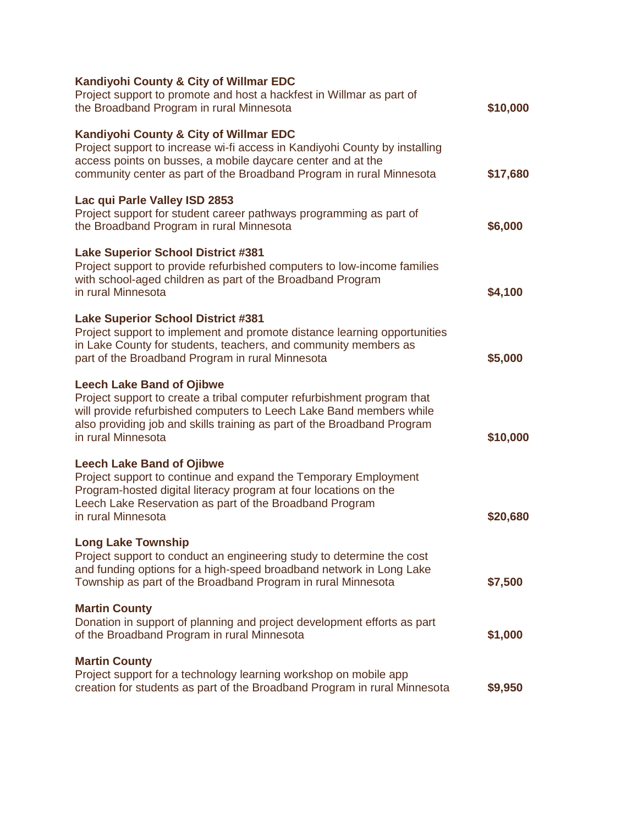| Kandiyohi County & City of Willmar EDC<br>Project support to promote and host a hackfest in Willmar as part of<br>the Broadband Program in rural Minnesota                                                                                                                         | \$10,000 |
|------------------------------------------------------------------------------------------------------------------------------------------------------------------------------------------------------------------------------------------------------------------------------------|----------|
| Kandiyohi County & City of Willmar EDC<br>Project support to increase wi-fi access in Kandiyohi County by installing<br>access points on busses, a mobile daycare center and at the<br>community center as part of the Broadband Program in rural Minnesota                        | \$17,680 |
| Lac qui Parle Valley ISD 2853<br>Project support for student career pathways programming as part of<br>the Broadband Program in rural Minnesota                                                                                                                                    | \$6,000  |
| <b>Lake Superior School District #381</b><br>Project support to provide refurbished computers to low-income families<br>with school-aged children as part of the Broadband Program<br>in rural Minnesota                                                                           | \$4,100  |
| <b>Lake Superior School District #381</b><br>Project support to implement and promote distance learning opportunities<br>in Lake County for students, teachers, and community members as<br>part of the Broadband Program in rural Minnesota                                       | \$5,000  |
| <b>Leech Lake Band of Ojibwe</b><br>Project support to create a tribal computer refurbishment program that<br>will provide refurbished computers to Leech Lake Band members while<br>also providing job and skills training as part of the Broadband Program<br>in rural Minnesota | \$10,000 |
| <b>Leech Lake Band of Ojibwe</b><br>Project support to continue and expand the Temporary Employment<br>Program-hosted digital literacy program at four locations on the<br>Leech Lake Reservation as part of the Broadband Program<br>in rural Minnesota                           | \$20,680 |
| <b>Long Lake Township</b><br>Project support to conduct an engineering study to determine the cost<br>and funding options for a high-speed broadband network in Long Lake<br>Township as part of the Broadband Program in rural Minnesota                                          | \$7,500  |
| <b>Martin County</b><br>Donation in support of planning and project development efforts as part<br>of the Broadband Program in rural Minnesota                                                                                                                                     | \$1,000  |
| <b>Martin County</b><br>Project support for a technology learning workshop on mobile app<br>creation for students as part of the Broadband Program in rural Minnesota                                                                                                              | \$9,950  |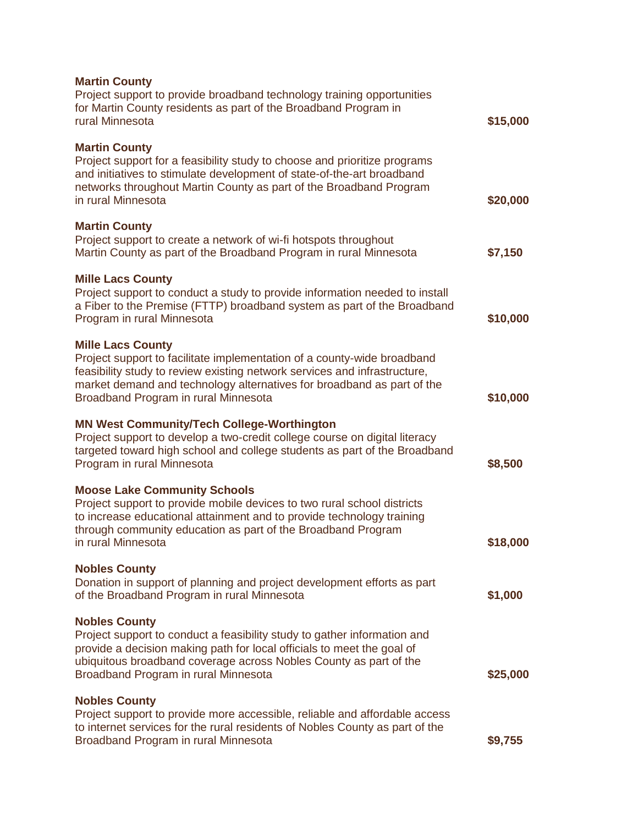| <b>Martin County</b><br>Project support to provide broadband technology training opportunities<br>for Martin County residents as part of the Broadband Program in<br>rural Minnesota                                                                                                               | \$15,000 |
|----------------------------------------------------------------------------------------------------------------------------------------------------------------------------------------------------------------------------------------------------------------------------------------------------|----------|
| <b>Martin County</b><br>Project support for a feasibility study to choose and prioritize programs<br>and initiatives to stimulate development of state-of-the-art broadband<br>networks throughout Martin County as part of the Broadband Program<br>in rural Minnesota                            | \$20,000 |
| <b>Martin County</b><br>Project support to create a network of wi-fi hotspots throughout<br>Martin County as part of the Broadband Program in rural Minnesota                                                                                                                                      | \$7,150  |
| <b>Mille Lacs County</b><br>Project support to conduct a study to provide information needed to install<br>a Fiber to the Premise (FTTP) broadband system as part of the Broadband<br>Program in rural Minnesota                                                                                   | \$10,000 |
| <b>Mille Lacs County</b><br>Project support to facilitate implementation of a county-wide broadband<br>feasibility study to review existing network services and infrastructure,<br>market demand and technology alternatives for broadband as part of the<br>Broadband Program in rural Minnesota | \$10,000 |
| <b>MN West Community/Tech College-Worthington</b><br>Project support to develop a two-credit college course on digital literacy<br>targeted toward high school and college students as part of the Broadband<br>Program in rural Minnesota                                                         | \$8,500  |
| <b>Moose Lake Community Schools</b><br>Project support to provide mobile devices to two rural school districts<br>to increase educational attainment and to provide technology training<br>through community education as part of the Broadband Program<br>in rural Minnesota                      | \$18,000 |
| <b>Nobles County</b><br>Donation in support of planning and project development efforts as part<br>of the Broadband Program in rural Minnesota                                                                                                                                                     | \$1,000  |
| <b>Nobles County</b><br>Project support to conduct a feasibility study to gather information and<br>provide a decision making path for local officials to meet the goal of<br>ubiquitous broadband coverage across Nobles County as part of the<br>Broadband Program in rural Minnesota            | \$25,000 |
| <b>Nobles County</b><br>Project support to provide more accessible, reliable and affordable access<br>to internet services for the rural residents of Nobles County as part of the<br>Broadband Program in rural Minnesota                                                                         | \$9,755  |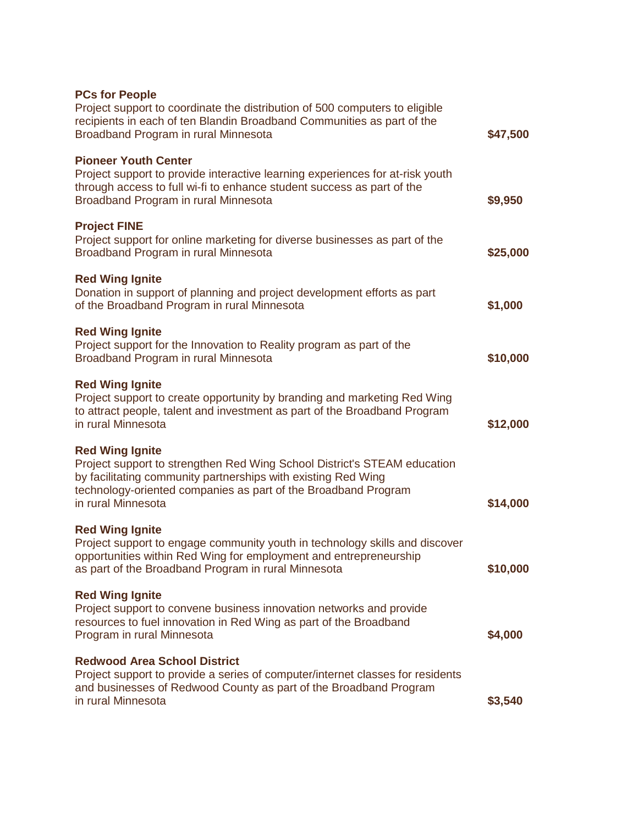| <b>PCs for People</b><br>Project support to coordinate the distribution of 500 computers to eligible                                                                                                                                                        |          |
|-------------------------------------------------------------------------------------------------------------------------------------------------------------------------------------------------------------------------------------------------------------|----------|
| recipients in each of ten Blandin Broadband Communities as part of the<br>Broadband Program in rural Minnesota                                                                                                                                              | \$47,500 |
| <b>Pioneer Youth Center</b><br>Project support to provide interactive learning experiences for at-risk youth<br>through access to full wi-fi to enhance student success as part of the<br>Broadband Program in rural Minnesota                              | \$9,950  |
| <b>Project FINE</b><br>Project support for online marketing for diverse businesses as part of the<br>Broadband Program in rural Minnesota                                                                                                                   | \$25,000 |
| <b>Red Wing Ignite</b><br>Donation in support of planning and project development efforts as part<br>of the Broadband Program in rural Minnesota                                                                                                            | \$1,000  |
| <b>Red Wing Ignite</b><br>Project support for the Innovation to Reality program as part of the<br>Broadband Program in rural Minnesota                                                                                                                      | \$10,000 |
| <b>Red Wing Ignite</b><br>Project support to create opportunity by branding and marketing Red Wing<br>to attract people, talent and investment as part of the Broadband Program<br>in rural Minnesota                                                       | \$12,000 |
| <b>Red Wing Ignite</b><br>Project support to strengthen Red Wing School District's STEAM education<br>by facilitating community partnerships with existing Red Wing<br>technology-oriented companies as part of the Broadband Program<br>in rural Minnesota | \$14,000 |
| <b>Red Wing Ignite</b><br>Project support to engage community youth in technology skills and discover<br>opportunities within Red Wing for employment and entrepreneurship<br>as part of the Broadband Program in rural Minnesota                           | \$10,000 |
| <b>Red Wing Ignite</b><br>Project support to convene business innovation networks and provide<br>resources to fuel innovation in Red Wing as part of the Broadband<br>Program in rural Minnesota                                                            | \$4,000  |
| <b>Redwood Area School District</b><br>Project support to provide a series of computer/internet classes for residents<br>and businesses of Redwood County as part of the Broadband Program<br>in rural Minnesota                                            | \$3,540  |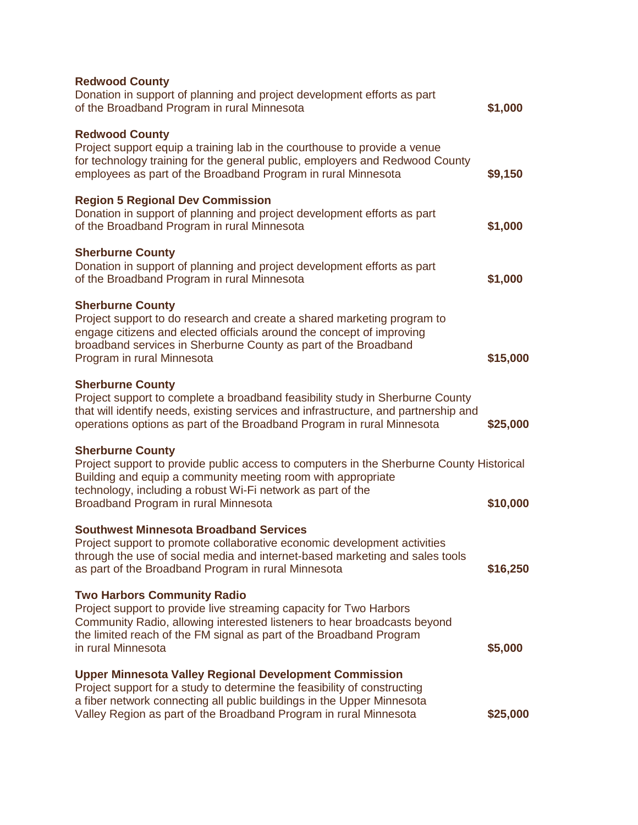| <b>Redwood County</b><br>Donation in support of planning and project development efforts as part<br>of the Broadband Program in rural Minnesota                                                                                                                                            | \$1,000  |
|--------------------------------------------------------------------------------------------------------------------------------------------------------------------------------------------------------------------------------------------------------------------------------------------|----------|
| <b>Redwood County</b><br>Project support equip a training lab in the courthouse to provide a venue<br>for technology training for the general public, employers and Redwood County<br>employees as part of the Broadband Program in rural Minnesota                                        | \$9,150  |
| <b>Region 5 Regional Dev Commission</b><br>Donation in support of planning and project development efforts as part<br>of the Broadband Program in rural Minnesota                                                                                                                          | \$1,000  |
| <b>Sherburne County</b><br>Donation in support of planning and project development efforts as part<br>of the Broadband Program in rural Minnesota                                                                                                                                          | \$1,000  |
| <b>Sherburne County</b><br>Project support to do research and create a shared marketing program to<br>engage citizens and elected officials around the concept of improving<br>broadband services in Sherburne County as part of the Broadband<br>Program in rural Minnesota               | \$15,000 |
| <b>Sherburne County</b><br>Project support to complete a broadband feasibility study in Sherburne County<br>that will identify needs, existing services and infrastructure, and partnership and<br>operations options as part of the Broadband Program in rural Minnesota                  | \$25,000 |
| <b>Sherburne County</b><br>Project support to provide public access to computers in the Sherburne County Historical<br>Building and equip a community meeting room with appropriate<br>technology, including a robust Wi-Fi network as part of the<br>Broadband Program in rural Minnesota | \$10,000 |
| <b>Southwest Minnesota Broadband Services</b><br>Project support to promote collaborative economic development activities<br>through the use of social media and internet-based marketing and sales tools<br>as part of the Broadband Program in rural Minnesota                           | \$16,250 |
| <b>Two Harbors Community Radio</b><br>Project support to provide live streaming capacity for Two Harbors<br>Community Radio, allowing interested listeners to hear broadcasts beyond<br>the limited reach of the FM signal as part of the Broadband Program<br>in rural Minnesota          | \$5,000  |
| <b>Upper Minnesota Valley Regional Development Commission</b><br>Project support for a study to determine the feasibility of constructing<br>a fiber network connecting all public buildings in the Upper Minnesota<br>Valley Region as part of the Broadband Program in rural Minnesota   | \$25,000 |